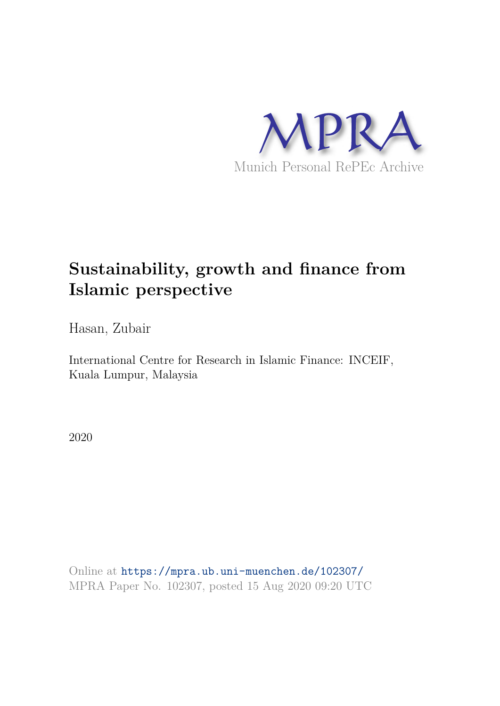

# **Sustainability, growth and finance from Islamic perspective**

Hasan, Zubair

International Centre for Research in Islamic Finance: INCEIF, Kuala Lumpur, Malaysia

2020

Online at https://mpra.ub.uni-muenchen.de/102307/ MPRA Paper No. 102307, posted 15 Aug 2020 09:20 UTC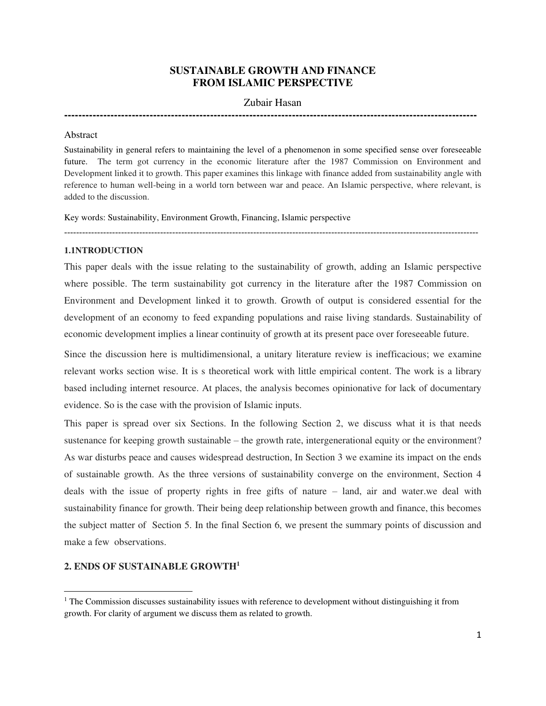# **SUSTAINABLE GROWTH AND FINANCE FROM ISLAMIC PERSPECTIVE**

# Zubair Hasan

**--------------------------------------------------------------------------------------------------------------------** 

#### Abstract

Sustainability in general refers to maintaining the level of a phenomenon in some specified sense over foreseeable future. The term got currency in the economic literature after the 1987 Commission on Environment and Development linked it to growth. This paper examines this linkage with finance added from sustainability angle with reference to human well-being in a world torn between war and peace. An Islamic perspective, where relevant, is added to the discussion.

------------------------------------------------------------------------------------------------------------------------------------------

Key words: Sustainability, Environment Growth, Financing, Islamic perspective

# **1.1NTRODUCTION**

This paper deals with the issue relating to the sustainability of growth, adding an Islamic perspective where possible. The term sustainability got currency in the literature after the 1987 Commission on Environment and Development linked it to growth. Growth of output is considered essential for the development of an economy to feed expanding populations and raise living standards. Sustainability of economic development implies a linear continuity of growth at its present pace over foreseeable future.

Since the discussion here is multidimensional, a unitary literature review is inefficacious; we examine relevant works section wise. It is s theoretical work with little empirical content. The work is a library based including internet resource. At places, the analysis becomes opinionative for lack of documentary evidence. So is the case with the provision of Islamic inputs.

This paper is spread over six Sections. In the following Section 2, we discuss what it is that needs sustenance for keeping growth sustainable – the growth rate, intergenerational equity or the environment? As war disturbs peace and causes widespread destruction, In Section 3 we examine its impact on the ends of sustainable growth. As the three versions of sustainability converge on the environment, Section 4 deals with the issue of property rights in free gifts of nature – land, air and water.we deal with sustainability finance for growth. Their being deep relationship between growth and finance, this becomes the subject matter of Section 5. In the final Section 6, we present the summary points of discussion and make a few observations.

# **2. ENDS OF SUSTAINABLE GROWTH<sup>1</sup>**

<sup>&</sup>lt;sup>1</sup> The Commission discusses sustainability issues with reference to development without distinguishing it from growth. For clarity of argument we discuss them as related to growth.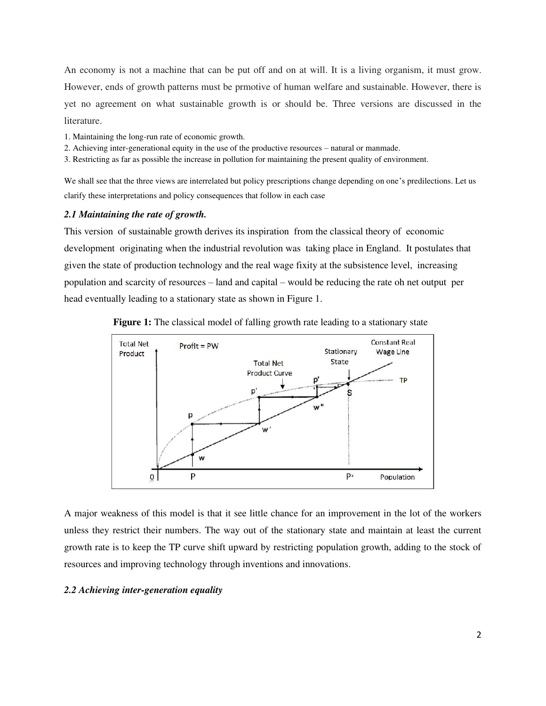An economy is not a machine that can be put off and on at will. It is a living organism, it must grow. However, ends of growth patterns must be prmotive of human welfare and sustainable. However, there is yet no agreement on what sustainable growth is or should be. Three versions are discussed in the literature.

- 1. Maintaining the long-run rate of economic growth.
- 2. Achieving inter-generational equity in the use of the productive resources natural or manmade.
- 3. Restricting as far as possible the increase in pollution for maintaining the present quality of environment.

We shall see that the three views are interrelated but policy prescriptions change depending on one's predilections. Let us clarify these interpretations and policy consequences that follow in each case

### *2.1 Maintaining the rate of growth.*

This version of sustainable growth derives its inspiration from the classical theory of economic development originating when the industrial revolution was taking place in England. It postulates that given the state of production technology and the real wage fixity at the subsistence level, increasing population and scarcity of resources – land and capital – would be reducing the rate oh net output per head eventually leading to a stationary state as shown in Figure 1.



**Figure 1:** The classical model of falling growth rate leading to a stationary state

A major weakness of this model is that it see little chance for an improvement in the lot of the workers unless they restrict their numbers. The way out of the stationary state and maintain at least the current growth rate is to keep the TP curve shift upward by restricting population growth, adding to the stock of resources and improving technology through inventions and innovations.

# *2.2 Achieving inter-generation equality*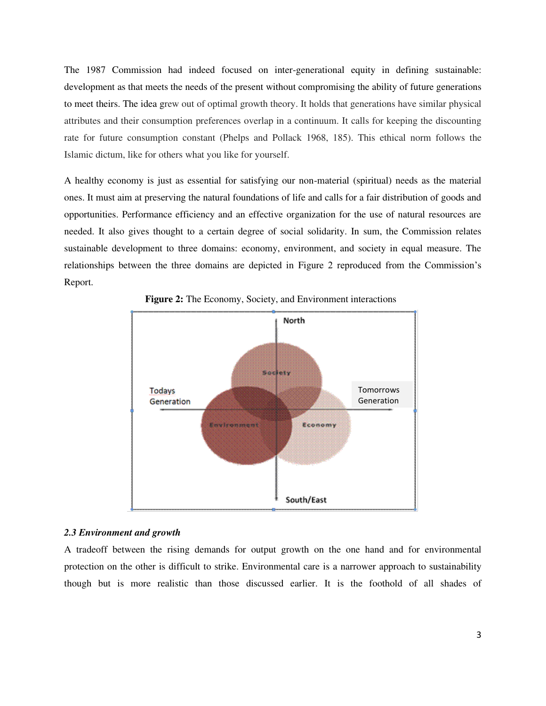The 1987 Commission had indeed focused on inter-generational equity in defining sustainable: development as that meets the needs of the present without compromising the ability of future generations to meet theirs. The idea grew out of optimal growth theory. It holds that generations have similar physical attributes and their consumption preferences overlap in a continuum. It calls for keeping the discounting rate for future consumption constant (Phelps and Pollack 1968, 185). This ethical norm follows the Islamic dictum, like for others what you like for yourself.

A healthy economy is just as essential for satisfying our non-material (spiritual) needs as the material ones. It must aim at preserving the natural foundations of life and calls for a fair distribution of goods and opportunities. Performance efficiency and an effective organization for the use of natural resources are needed. It also gives thought to a certain degree of social solidarity. In sum, the Commission relates sustainable development to three domains: economy, environment, and society in equal measure. The relationships between the three domains are depicted in Figure 2 reproduced from the Commission's Report.



**Figure 2:** The Economy, Society, and Environment interactions

#### *2.3 Environment and growth*

A tradeoff between the rising demands for output growth on the one hand and for environmental protection on the other is difficult to strike. Environmental care is a narrower approach to sustainability though but is more realistic than those discussed earlier. It is the foothold of all shades of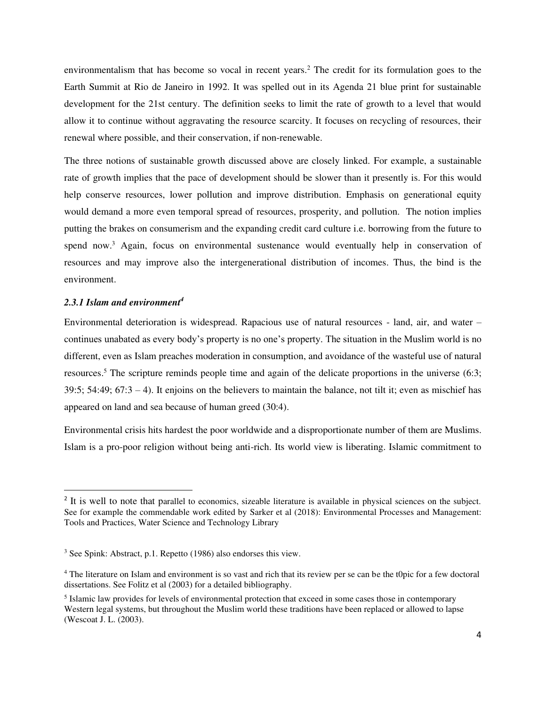environmentalism that has become so vocal in recent years.<sup>2</sup> The credit for its formulation goes to the Earth Summit at Rio de Janeiro in 1992. It was spelled out in its Agenda 21 blue print for sustainable development for the 21st century. The definition seeks to limit the rate of growth to a level that would allow it to continue without aggravating the resource scarcity. It focuses on recycling of resources, their renewal where possible, and their conservation, if non-renewable.

The three notions of sustainable growth discussed above are closely linked. For example, a sustainable rate of growth implies that the pace of development should be slower than it presently is. For this would help conserve resources, lower pollution and improve distribution. Emphasis on generational equity would demand a more even temporal spread of resources, prosperity, and pollution. The notion implies putting the brakes on consumerism and the expanding credit card culture i.e. borrowing from the future to spend now.<sup>3</sup> Again, focus on environmental sustenance would eventually help in conservation of resources and may improve also the intergenerational distribution of incomes. Thus, the bind is the environment.

# *2.3.1 Islam and environment<sup>4</sup>*

Environmental deterioration is widespread. Rapacious use of natural resources - land, air, and water – continues unabated as every body's property is no one's property. The situation in the Muslim world is no different, even as Islam preaches moderation in consumption, and avoidance of the wasteful use of natural resources.<sup>5</sup> The scripture reminds people time and again of the delicate proportions in the universe (6:3; 39:5; 54:49;  $67:3 - 4$ ). It enjoins on the believers to maintain the balance, not tilt it; even as mischief has appeared on land and sea because of human greed (30:4).

Environmental crisis hits hardest the poor worldwide and a disproportionate number of them are Muslims. Islam is a pro-poor religion without being anti-rich. Its world view is liberating. Islamic commitment to

<sup>&</sup>lt;sup>2</sup> It is well to note that parallel to economics, sizeable literature is available in physical sciences on the subject. See for example the commendable work edited by Sarker et al (2018): Environmental Processes and Management: Tools and Practices, Water Science and Technology Library

<sup>&</sup>lt;sup>3</sup> See Spink: Abstract, p.1. Repetto (1986) also endorses this view.

<sup>&</sup>lt;sup>4</sup> The literature on Islam and environment is so vast and rich that its review per se can be the t0pic for a few doctoral dissertations. See Folitz et al (2003) for a detailed bibliography.

<sup>&</sup>lt;sup>5</sup> Islamic law provides for levels of environmental protection that exceed in some cases those in contemporary Western legal systems, but throughout the Muslim world these traditions have been replaced or allowed to lapse (Wescoat J. L. (2003).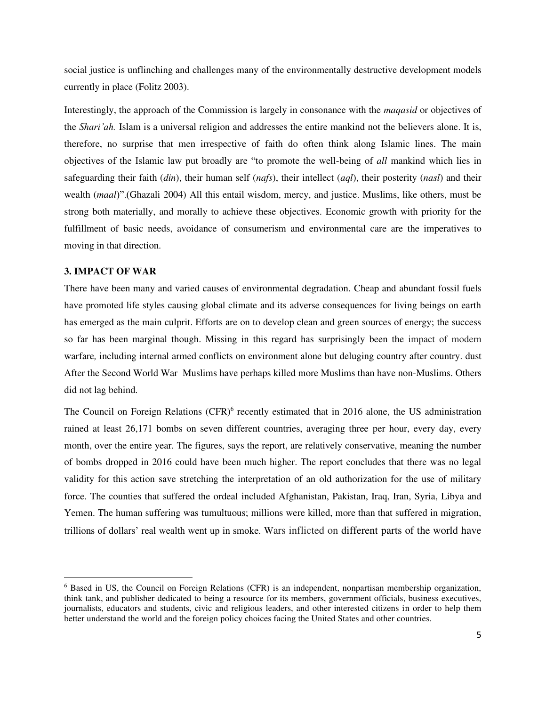social justice is unflinching and challenges many of the environmentally destructive development models currently in place (Folitz 2003).

Interestingly, the approach of the Commission is largely in consonance with the *maqasid* or objectives of the *Shari'ah.* Islam is a universal religion and addresses the entire mankind not the believers alone. It is, therefore, no surprise that men irrespective of faith do often think along Islamic lines. The main objectives of the Islamic law put broadly are "to promote the well-being of *all* mankind which lies in safeguarding their faith (*din*), their human self (*nafs*), their intellect (*aql*), their posterity (*nasl*) and their wealth (*maal*)".(Ghazali 2004) All this entail wisdom, mercy, and justice. Muslims, like others, must be strong both materially, and morally to achieve these objectives. Economic growth with priority for the fulfillment of basic needs, avoidance of consumerism and environmental care are the imperatives to moving in that direction.

# **3. IMPACT OF WAR**

There have been many and varied causes of environmental degradation. Cheap and abundant fossil fuels have promoted life styles causing global climate and its adverse consequences for living beings on earth has emerged as the main culprit. Efforts are on to develop clean and green sources of energy; the success so far has been marginal though. Missing in this regard has surprisingly been the impact of modern warfare*,* including internal armed conflicts on environment alone but deluging country after country. dust After the Second World War Muslims have perhaps killed more Muslims than have non-Muslims. Others did not lag behind.

The Council on Foreign Relations (CFR)<sup>6</sup> recently estimated that in 2016 alone, the US administration rained at least 26,171 bombs on seven different countries, averaging three per hour, every day, every month, over the entire year. The figures, says the report, are relatively conservative, meaning the number of bombs dropped in 2016 could have been much higher. The report concludes that there was no legal validity for this action save stretching the interpretation of an old authorization for the use of military force. The counties that suffered the ordeal included Afghanistan, Pakistan, Iraq, Iran, Syria, Libya and Yemen. The human suffering was tumultuous; millions were killed, more than that suffered in migration, trillions of dollars' real wealth went up in smoke. Wars inflicted on different parts of the world have

<sup>&</sup>lt;sup>6</sup> Based in US, the Council on Foreign Relations (CFR) is an independent, nonpartisan membership organization, think tank, and publisher dedicated to being a resource for its members, government officials, business executives, journalists, educators and students, civic and religious leaders, and other interested citizens in order to help them better understand the world and the foreign policy choices facing the United States and other countries.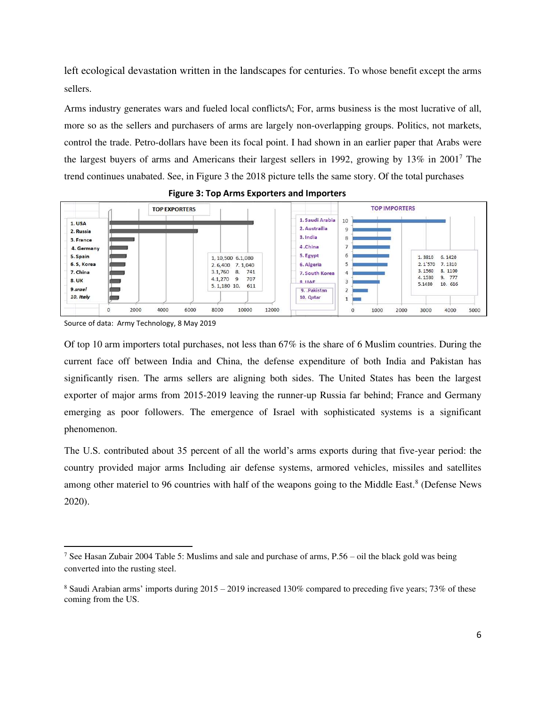left ecological devastation written in the landscapes for centuries. To whose benefit except the arms sellers.

Arms industry generates wars and fueled local conflicts/\; For, arms business is the most lucrative of all, more so as the sellers and purchasers of arms are largely non-overlapping groups. Politics, not markets, control the trade. Petro-dollars have been its focal point. I had shown in an earlier paper that Arabs were the largest buyers of arms and Americans their largest sellers in 1992, growing by 13% in 2001<sup>7</sup> The trend continues unabated. See, in Figure 3 the 2018 picture tells the same story. Of the total purchases



#### **Figure 3: Top Arms Exporters and Importers**

Source of data: Army Technology, 8 May 2019

Of top 10 arm importers total purchases, not less than 67% is the share of 6 Muslim countries. During the current face off between India and China, the defense expenditure of both India and Pakistan has significantly risen. The arms sellers are aligning both sides. The United States has been the largest exporter of major arms from 2015-2019 leaving the runner-up Russia far behind; France and Germany emerging as poor followers. The emergence of Israel with sophisticated systems is a significant phenomenon.

The U.S. contributed about 35 percent of all the world's arms exports during that five-year period: the country provided major arms Including air defense systems, armored vehicles, missiles and satellites among other materiel to 96 countries with half of the weapons going to the Middle East.<sup>8</sup> (Defense News 2020).

<sup>&</sup>lt;sup>7</sup> See Hasan Zubair 2004 Table 5: Muslims and sale and purchase of arms, P.56 – oil the black gold was being converted into the rusting steel.

<sup>8</sup> Saudi Arabian arms' imports during 2015 – 2019 increased 130% compared to preceding five years; 73% of these coming from the US.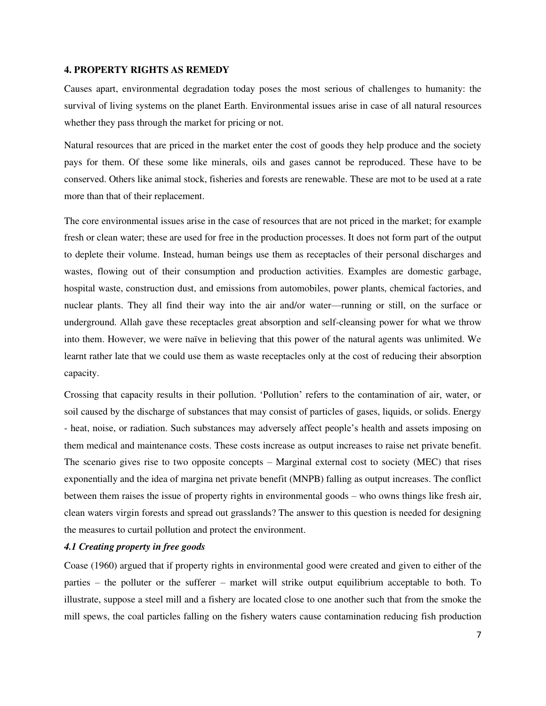#### **4. PROPERTY RIGHTS AS REMEDY**

Causes apart, environmental degradation today poses the most serious of challenges to humanity: the survival of living systems on the planet Earth. Environmental issues arise in case of all natural resources whether they pass through the market for pricing or not.

Natural resources that are priced in the market enter the cost of goods they help produce and the society pays for them. Of these some like minerals, oils and gases cannot be reproduced. These have to be conserved. Others like animal stock, fisheries and forests are renewable. These are mot to be used at a rate more than that of their replacement.

The core environmental issues arise in the case of resources that are not priced in the market; for example fresh or clean water; these are used for free in the production processes. It does not form part of the output to deplete their volume. Instead, human beings use them as receptacles of their personal discharges and wastes, flowing out of their consumption and production activities. Examples are domestic garbage, hospital waste, construction dust, and emissions from automobiles, power plants, chemical factories, and nuclear plants. They all find their way into the air and/or water—running or still, on the surface or underground. Allah gave these receptacles great absorption and self-cleansing power for what we throw into them. However, we were naïve in believing that this power of the natural agents was unlimited. We learnt rather late that we could use them as waste receptacles only at the cost of reducing their absorption capacity.

Crossing that capacity results in their pollution. 'Pollution' refers to the contamination of air, water, or soil caused by the discharge of substances that may consist of particles of gases, liquids, or solids. Energy - heat, noise, or radiation. Such substances may adversely affect people's health and assets imposing on them medical and maintenance costs. These costs increase as output increases to raise net private benefit. The scenario gives rise to two opposite concepts – Marginal external cost to society (MEC) that rises exponentially and the idea of margina net private benefit (MNPB) falling as output increases. The conflict between them raises the issue of property rights in environmental goods – who owns things like fresh air, clean waters virgin forests and spread out grasslands? The answer to this question is needed for designing the measures to curtail pollution and protect the environment.

# *4.1 Creating property in free goods*

Coase (1960) argued that if property rights in environmental good were created and given to either of the parties – the polluter or the sufferer – market will strike output equilibrium acceptable to both. To illustrate, suppose a steel mill and a fishery are located close to one another such that from the smoke the mill spews, the coal particles falling on the fishery waters cause contamination reducing fish production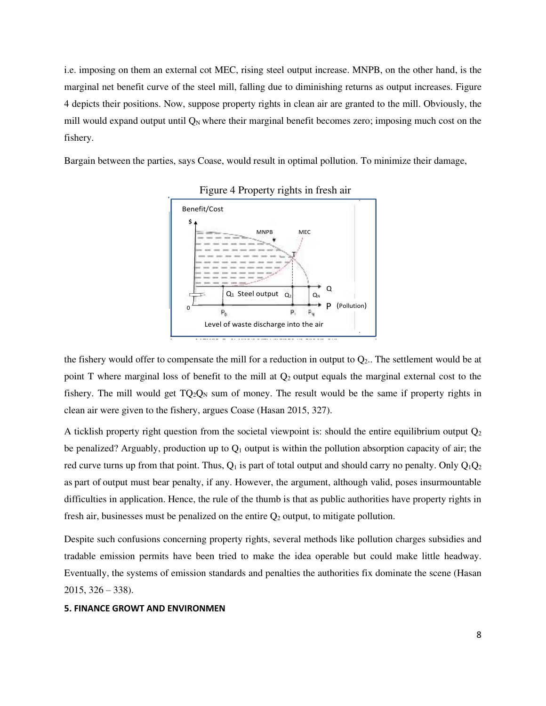i.e. imposing on them an external cot MEC, rising steel output increase. MNPB, on the other hand, is the marginal net benefit curve of the steel mill, falling due to diminishing returns as output increases. Figure 4 depicts their positions. Now, suppose property rights in clean air are granted to the mill. Obviously, the mill would expand output until  $Q_N$  where their marginal benefit becomes zero; imposing much cost on the fishery.

Bargain between the parties, says Coase, would result in optimal pollution. To minimize their damage,





the fishery would offer to compensate the mill for a reduction in output to  $Q_2$ . The settlement would be at point T where marginal loss of benefit to the mill at  $Q_2$  output equals the marginal external cost to the fishery. The mill would get  $TO_2O_N$  sum of money. The result would be the same if property rights in clean air were given to the fishery, argues Coase (Hasan 2015, 327).

A ticklish property right question from the societal viewpoint is: should the entire equilibrium output  $Q_2$ be penalized? Arguably, production up to  $Q_1$  output is within the pollution absorption capacity of air; the red curve turns up from that point. Thus,  $Q_1$  is part of total output and should carry no penalty. Only  $Q_1Q_2$ as part of output must bear penalty, if any. However, the argument, although valid, poses insurmountable difficulties in application. Hence, the rule of the thumb is that as public authorities have property rights in fresh air, businesses must be penalized on the entire  $Q_2$  output, to mitigate pollution.

Despite such confusions concerning property rights, several methods like pollution charges subsidies and tradable emission permits have been tried to make the idea operable but could make little headway. Eventually, the systems of emission standards and penalties the authorities fix dominate the scene (Hasan  $2015, 326 - 338$ .

## **5. FINANCE GROWT AND ENVIRONMEN**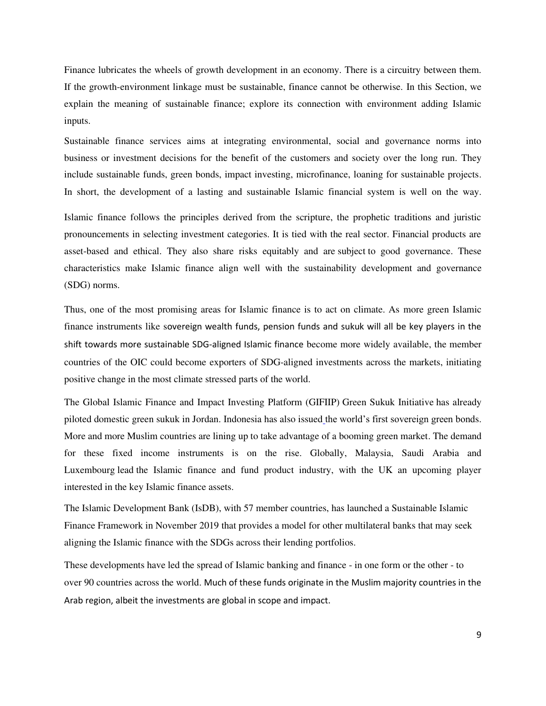Finance lubricates the wheels of growth development in an economy. There is a circuitry between them. If the growth-environment linkage must be sustainable, finance cannot be otherwise. In this Section, we explain the meaning of sustainable finance; explore its connection with environment adding Islamic inputs.

Sustainable finance services aims at integrating environmental, social and governance norms into business or investment decisions for the benefit of the customers and society over the long run. They include sustainable funds, green bonds, impact investing, microfinance, loaning for sustainable projects. In short, the development of a lasting and sustainable Islamic financial system is well on the way.

Islamic finance follows the principles derived from the scripture, the prophetic traditions and juristic pronouncements in selecting investment categories. It is tied with the real sector. Financial products are asset-based and ethical. They also share risks equitably and ar[e subject t](https://www.undp.org/content/dam/istanbul/docs/IRTI_UNDP%20IFII%20Report%20EE_V3.pdf)o good governance. These characteristics make Islamic finance align well with the sustainability development and governance (SDG) norms.

Thus, one of the most promising areas for Islamic finance is to act on climate. As more green Islamic finance instruments like sovereign wealth funds, pension funds and sukuk will all be key players in the shift towards more sustainable SDG-aligned Islamic finance become more widely available, the member countries of the OIC could become exporters of SDG-aligned investments across the markets, initiating positive change in the most climate stressed parts of the world.

The Global Islamic Finance and Impact Investing Platform (GIFIIP) [Green Sukuk Initiative](http://www.gifiip.org/green-sukuk-initiative/) has already piloted domestic green sukuk in Jordan. Indonesia has [also issued](http://documents.worldbank.org/curated/en/591721554824346344/pdf/Islamic-Green-Finance-Development-Ecosystem-and-Prospects.pdf) the world's first sovereign green bonds. More and more Muslim countries are lining up to take advantage of a booming green market. The demand for these fixed income instruments is on the rise. Globally, Malaysia, Saudi Arabia and Luxembour[g lead](https://gouvernement.lu/en/actualites/toutes_actualites/communiques/2019/11-novembre/11-isdb-green-bond.html) the Islamic finance and fund product industry, with the UK an upcoming player interested in the key Islamic finance assets.

The Islamic Development Bank (IsDB), with 57 member countries, has launched a Sustainable Islamic Finance Framework in November 2019 that provides a model for other multilateral banks that may seek aligning the Islamic finance with the SDGs across their lending portfolios.

These developments have led the spread of Islamic banking and finance - in one form or the other - to over 90 countries across the world. Much of these funds originate in the Muslim majority countries in the Arab region, albeit the investments are global in scope and impact.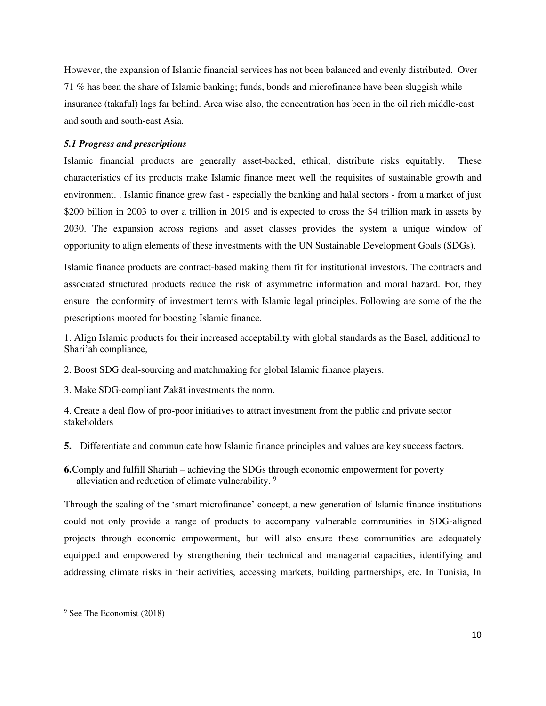However, the expansion of Islamic financial services has not been balanced and evenly distributed. Over 71 % has been the share of Islamic banking; funds, bonds and microfinance have been sluggish while insurance (takaful) lags far behind. Area wise also, the concentration has been in the oil rich middle-east and south and south-east Asia.

#### *5.1 Progress and prescriptions*

Islamic financial products are generally asset-backed, ethical, distribute risks equitably. These characteristics of its products make Islamic finance meet well the requisites of sustainable growth and environment. . Islamic finance grew fast - especially the banking and halal sectors - from a market of just \$200 billion in 2003 to over a trillion in 2019 and is [expected to c](http://www.dinarstandard.com/state-of-the-global-islamic-economy-report-2015/)ross the \$4 trillion mark in assets by 2030. The expansion across regions and asset classes provides the system a unique window of opportunity to align elements of these investments with the UN Sustainable Development Goals (SDGs).

Islamic finance products are contract-based making them fit for institutional investors. The contracts and associated structured products reduce the risk of asymmetric information and moral hazard. For, they ensure the conformity of investment terms with Islamic legal principles. Following are some of the the prescriptions mooted for boosting Islamic finance.

1. Align Islamic products for their increased acceptability with global standards as the Basel, additional to Shari'ah compliance,

2. Boost SDG deal-sourcing and matchmaking for global Islamic finance players.

3. Make SDG-compliant Zakāt investments the norm.

4. Create a deal flow of pro-poor initiatives to attract investment from the public and private sector stakeholders

- **5.** Differentiate and communicate how Islamic finance principles and values are key success factors.
- **6.**Comply and fulfill Shariah achieving the SDGs through economic empowerment for poverty alleviation and reduction of climate vulnerability.<sup>9</sup>

Through the scaling of the 'smart microfinance' concept, a new generation of Islamic finance institutions could not only provide a range of products to accompany vulnerable communities in SDG-aligned projects through economic empowerment, but will also ensure these communities are adequately equipped and empowered by strengthening their technical and managerial capacities, identifying and addressing climate risks in their activities, accessing markets, building partnerships, etc. In Tunisia, In

<sup>&</sup>lt;sup>9</sup> See The Economist (2018)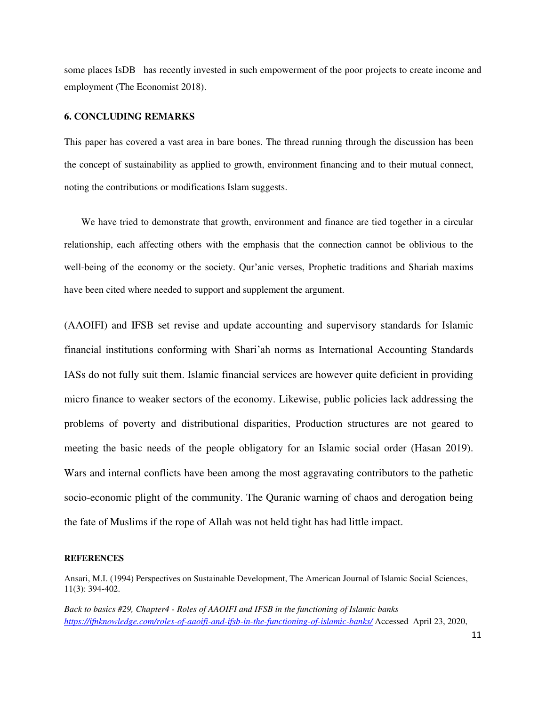some places IsDB has recently invested in such empowerment of the poor projects to create income and employment (The Economist 2018).

## **6. CONCLUDING REMARKS**

This paper has covered a vast area in bare bones. The thread running through the discussion has been the concept of sustainability as applied to growth, environment financing and to their mutual connect, noting the contributions or modifications Islam suggests.

We have tried to demonstrate that growth, environment and finance are tied together in a circular relationship, each affecting others with the emphasis that the connection cannot be oblivious to the well-being of the economy or the society. Qur'anic verses, Prophetic traditions and Shariah maxims have been cited where needed to support and supplement the argument.

(AAOIFI) and IFSB set revise and update accounting and supervisory standards for Islamic financial institutions conforming with Shari'ah norms as International Accounting Standards IASs do not fully suit them. Islamic financial services are however quite deficient in providing micro finance to weaker sectors of the economy. Likewise, public policies lack addressing the problems of poverty and distributional disparities, Production structures are not geared to meeting the basic needs of the people obligatory for an Islamic social order (Hasan 2019). Wars and internal conflicts have been among the most aggravating contributors to the pathetic socio-economic plight of the community. The Quranic warning of chaos and derogation being the fate of Muslims if the rope of Allah was not held tight has had little impact.

#### **REFERENCES**

*Back to basics #29, Chapter4 - Roles of AAOIFI and IFSB in the functioning of Islamic banks <https://ifnknowledge.com/roles-of-aaoifi-and-ifsb-in-the-functioning-of-islamic-banks/>* Accessed April 23, 2020,

Ansari, M.I. (1994) Perspectives on Sustainable Development, The American Journal of Islamic Social Sciences, 11(3): 394-402.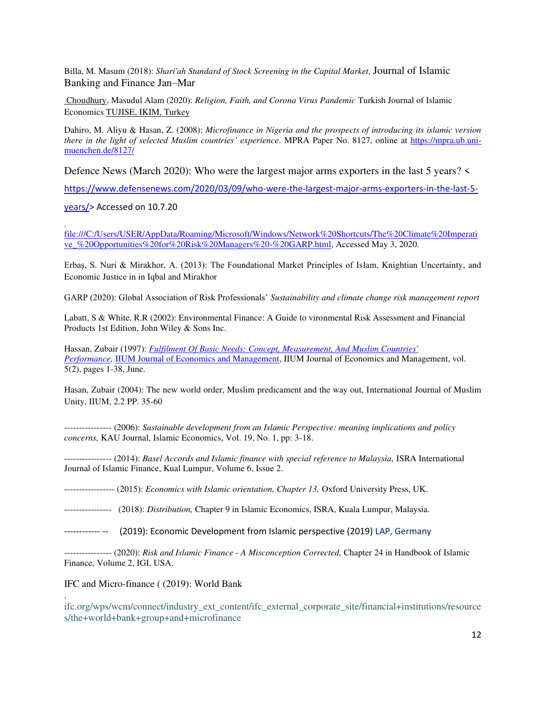Billa, M. Masum (2018): *[Shari'ah Standard of Stock Screening in the Capital Market,](http://www.academia.edu/download/56224796/Shariah_Standard_of_Stock_Screening_in_the_Capital_Market.pdf)* Journal of Islamic Banking and Finance Jan–Mar

[Choudhury](https://ikam.org.tr/masudul.alam.choudhury)**,** Masudul Alam (2020): *Religion, Faith, and Corona Virus Pandemic* Turkish Journal of Islamic Economics [TUJISE, IKIM, Turkey](https://ikam.org.tr/tujise-dergisinin-7-cilt-1-sayisi-yayimlandi) 

Dahiro, M. Aliyu & Hasan, Z. (2008): *Microfinance in Nigeria and the prospects of introducing its islamic version there in the light of selected Muslim countries' experience*. MPRA Paper No. 8127, online at [https://mpra.ub.uni](https://mpra.ub.uni-muenchen.de/8127/)[muenchen.de/8127/](https://mpra.ub.uni-muenchen.de/8127/)

Defence News (March 2020): Who were the largest major arms exporters in the last 5 years? <

[https://www.defensenews.com/2020/03/09/who-were-the-largest-major-arms-exporters-in-the-last-5-](https://www.defensenews.com/2020/03/09/who-were-the-largest-major-arms-exporters-in-the-last-5-years/)

[years/>](https://www.defensenews.com/2020/03/09/who-were-the-largest-major-arms-exporters-in-the-last-5-years/) Accessed on 10.7.20

.

.

[file:///C:/Users/USER/AppData/Roaming/Microsoft/Windows/Network%20Shortcuts/The%20Climate%20Imperati](file:///C:/Users/USER/AppData/Roaming/Microsoft/Windows/Network%20Shortcuts/The%20Climate%20Imperative_%20Opportunities%20for%20Risk%20Managers%20-%20GARP.html) [ve\\_%20Opportunities%20for%20Risk%20Managers%20-%20GARP.html,](file:///C:/Users/USER/AppData/Roaming/Microsoft/Windows/Network%20Shortcuts/The%20Climate%20Imperative_%20Opportunities%20for%20Risk%20Managers%20-%20GARP.html) Accessed May 3, 2020.

Erbaş, S. Nuri & Mirakhor, A. (2013): The Foundational Market Principles of Islam, Knightian Uncertainty, and Economic Justice in in Iqbal and Mirakhor

GARP (2020): Global Association of Risk Professionals' *Sustainability and climate change risk management report*

Labatt, S & White, R.R (2002): Environmental Finance: A Guide to vironmental Risk Assessment and Financial Products 1st Edition, John Wiley & Sons Inc.

Hassan, Zubair (1997): *[Fulfilment Of Basic Needs: Concept, Measurement, And Muslim Countries'](https://ideas.repec.org/a/ije/journl/v5y1997i2p1-38.html)  [Performance,](https://ideas.repec.org/a/ije/journl/v5y1997i2p1-38.html)* [IIUM Journal of Economics and Management,](https://ideas.repec.org/s/ije/journl.html) IIUM Journal of Economics and Management, vol. 5(2), pages 1-38, June.

Hasan, Zubair (2004): The new world order, Muslim predicament and the way out, International Journal of Muslim Unity, IIUM, 2.2 PP. 35-60

---------------- (2006): *Sustainable development from an Islamic Perspective: meaning implications and policy concerns,* KAU Journal, Islamic Economics, Vol. 19, No. 1, pp: 3-18.

---------------- (2014): *Basel Accords and Islamic finance with special reference to Malaysia,* ISRA International Journal of Islamic Finance, Kual Lumpur, Volume 6, Issue 2.

----------------- (2015): *Economics with Islamic orientation, Chapter 13,* Oxford University Press, UK.

- ---------------- (2018): *Distribution,* Chapter 9 in Islamic Economics, ISRA, Kuala Lumpur, Malaysia.
- ------------ -- (2019): Economic Development from Islamic perspective (2019) LAP, Germany

---------------- (2020): *Risk and Islamic Finance - A Misconception Corrected,* Chapter 24 in Handbook of Islamic Finance, Volume 2, IGI, USA.

IFC and Micro-finance ( (2019): World Bank

ifc.org/wps/wcm/connect/industry\_ext\_content/ifc\_external\_corporate\_site/financial+institutions/resource s/the+world+bank+group+and+microfinance